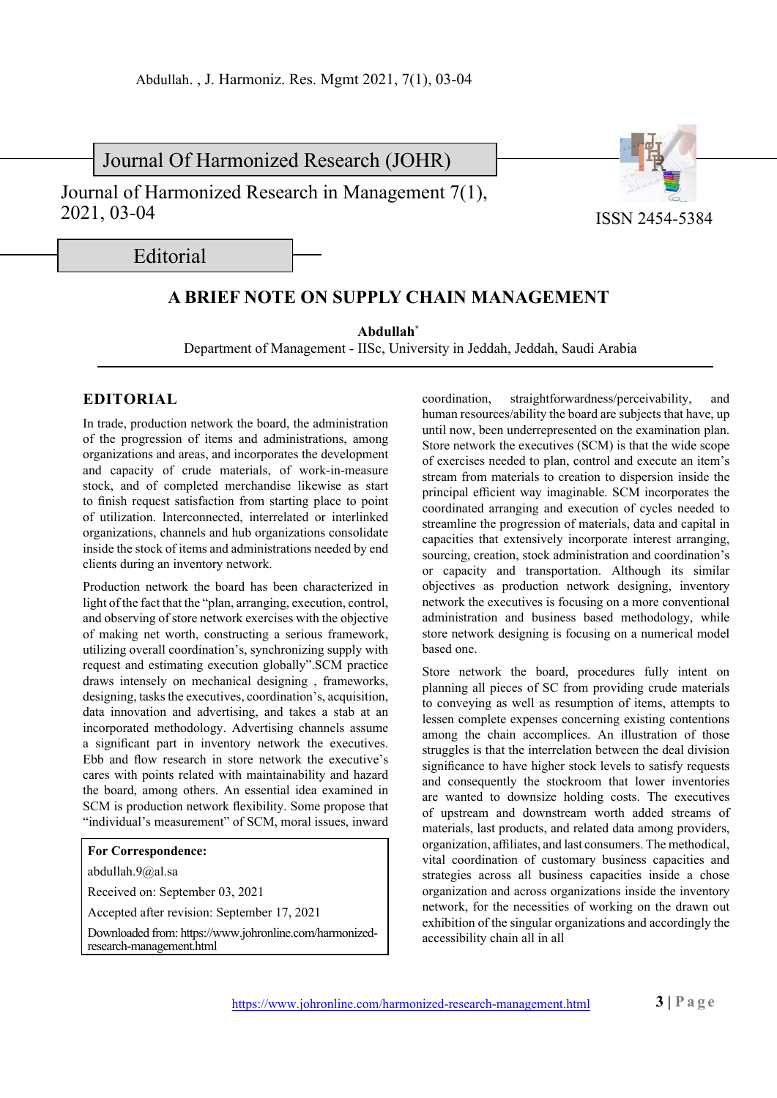Journal Of Harmonized Research (JOHR)

Journal of Harmonized Research in Management 7(1), 2021, 03-04



ISSN 2454-5384

Editorial

## **A BRIEF NOTE ON SUPPLY CHAIN MANAGEMENT**

**Abdullah\***

Department of Management - IISc, University in Jeddah, Jeddah, Saudi Arabia

## **EDITORIAL**

In trade, production network the board, the administration of the progression of items and administrations, among organizations and areas, and incorporates the development and capacity of crude materials, of work-in-measure stock, and of completed merchandise likewise as start to finish request satisfaction from starting place to point of utilization. Interconnected, interrelated or interlinked organizations, channels and hub organizations consolidate inside the stock of items and administrations needed by end clients during an inventory network.

Production network the board has been characterized in light of the fact that the "plan, arranging, execution, control, and observing of store network exercises with the objective of making net worth, constructing a serious framework, utilizing overall coordination's, synchronizing supply with request and estimating execution globally".SCM practice draws intensely on mechanical designing , frameworks, designing, tasks the executives, coordination's, acquisition, data innovation and advertising, and takes a stab at an incorporated methodology. Advertising channels assume a significant part in inventory network the executives. Ebb and flow research in store network the executive's cares with points related with maintainability and hazard the board, among others. An essential idea examined in SCM is production network flexibility. Some propose that "individual's measurement" of SCM, moral issues, inward

## **For Correspondence:**

abdullah.9@al.sa

Received on: September 03, 2021

Accepted after revision: September 17, 2021

Downloaded from: https://www.johronline.com/harmonizedresearch-management.html

coordination, straightforwardness/perceivability, and human resources/ability the board are subjects that have, up until now, been underrepresented on the examination plan. Store network the executives (SCM) is that the wide scope of exercises needed to plan, control and execute an item's stream from materials to creation to dispersion inside the principal efficient way imaginable. SCM incorporates the coordinated arranging and execution of cycles needed to streamline the progression of materials, data and capital in capacities that extensively incorporate interest arranging, sourcing, creation, stock administration and coordination's or capacity and transportation. Although its similar objectives as production network designing, inventory network the executives is focusing on a more conventional administration and business based methodology, while store network designing is focusing on a numerical model based one.

Store network the board, procedures fully intent on planning all pieces of SC from providing crude materials to conveying as well as resumption of items, attempts to lessen complete expenses concerning existing contentions among the chain accomplices. An illustration of those struggles is that the interrelation between the deal division significance to have higher stock levels to satisfy requests and consequently the stockroom that lower inventories are wanted to downsize holding costs. The executives of upstream and downstream worth added streams of materials, last products, and related data among providers, organization, affiliates, and last consumers. The methodical, vital coordination of customary business capacities and strategies across all business capacities inside a chose organization and across organizations inside the inventory network, for the necessities of working on the drawn out exhibition of the singular organizations and accordingly the accessibility chain all in all